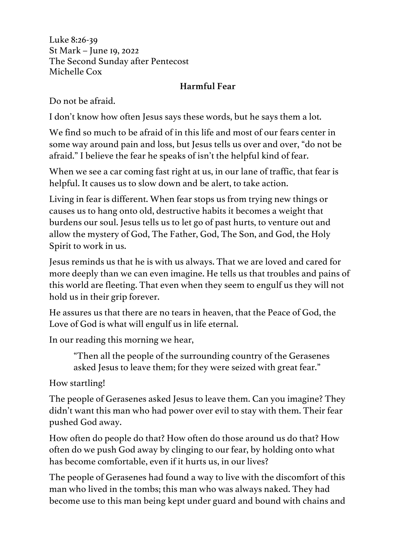Luke 8:26-39 St Mark – June 19, 2022 The Second Sunday after Pentecost Michelle Cox

## **Harmful Fear**

Do not be afraid.

I don't know how often Jesus says these words, but he says them a lot.

We find so much to be afraid of in this life and most of our fears center in some way around pain and loss, but Jesus tells us over and over, "do not be afraid." I believe the fear he speaks of isn't the helpful kind of fear.

When we see a car coming fast right at us, in our lane of traffic, that fear is helpful. It causes us to slow down and be alert, to take action.

Living in fear is different. When fear stops us from trying new things or causes us to hang onto old, destructive habits it becomes a weight that burdens our soul. Jesus tells us to let go of past hurts, to venture out and allow the mystery of God, The Father, God, The Son, and God, the Holy Spirit to work in us.

Jesus reminds us that he is with us always. That we are loved and cared for more deeply than we can even imagine. He tells us that troubles and pains of this world are fleeting. That even when they seem to engulf us they will not hold us in their grip forever.

He assures us that there are no tears in heaven, that the Peace of God, the Love of God is what will engulf us in life eternal.

In our reading this morning we hear,

"Then all the people of the surrounding country of the Gerasenes asked Jesus to leave them; for they were seized with great fear."

How startling!

The people of Gerasenes asked Jesus to leave them. Can you imagine? They didn't want this man who had power over evil to stay with them. Their fear pushed God away.

How often do people do that? How often do those around us do that? How often do we push God away by clinging to our fear, by holding onto what has become comfortable, even if it hurts us, in our lives?

The people of Gerasenes had found a way to live with the discomfort of this man who lived in the tombs; this man who was always naked. They had become use to this man being kept under guard and bound with chains and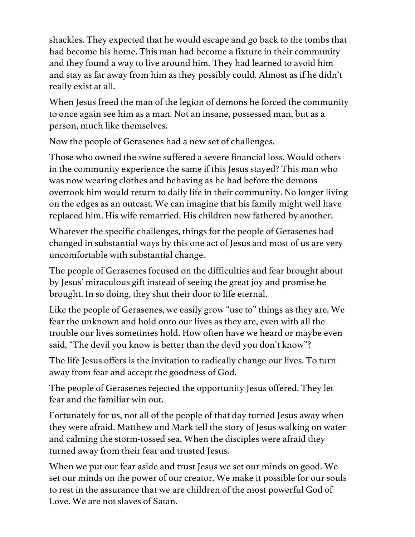shackles. They expected that he would escape and go back to the tombs that had become his home. This man had become a fixture in their community and they found a way to live around him. They had learned to avoid him and stay as far away from him as they possibly could. Almost as if he didn't really exist at all.

When Jesus freed the man of the legion of demons he forced the community to once again see him as a man. Not an insane, possessed man, but as a person, much like themselves.

Now the people of Gerasenes had a new set of challenges.

Those who owned the swine suffered a severe financial loss. Would others in the community experience the same if this Jesus stayed? This man who was now wearing clothes and behaving as he had before the demons overtook him would return to daily life in their community. No longer living on the edges as an outcast. We can imagine that his family might well have replaced him. His wife remarried. His children now fathered by another.

Whatever the specific challenges, things for the people of Gerasenes had changed in substantial ways by this one act of Jesus and most of us are very uncomfortable with substantial change.

The people of Gerasenes focused on the difficulties and fear brought about by Jesus' miraculous gift instead of seeing the great joy and promise he brought. In so doing, they shut their door to life eternal.

Like the people of Gerasenes, we easily grow "use to" things as they are. We fear the unknown and hold onto our lives as they are, even with all the trouble our lives sometimes hold. How often have we heard or maybe even said, "The devil you know is better than the devil you don't know"?

The life Jesus offers is the invitation to radically change our lives. To turn away from fear and accept the goodness of God.

The people of Gerasenes rejected the opportunity Jesus offered. They let fear and the familiar win out.

Fortunately for us, not all of the people of that day turned Jesus away when they were afraid. Matthew and Mark tell the story of Jesus walking on water and calming the storm-tossed sea. When the disciples were afraid they turned away from their fear and trusted Jesus.

When we put our fear aside and trust Jesus we set our minds on good. We set our minds on the power of our creator. We make it possible for our souls to rest in the assurance that we are children of the most powerful God of Love. We are not slaves of Satan.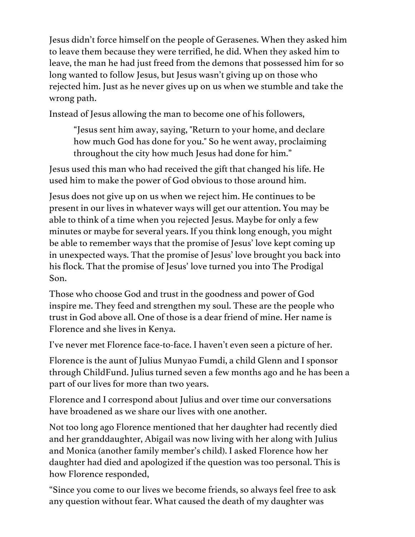Jesus didn't force himself on the people of Gerasenes. When they asked him to leave them because they were terrified, he did. When they asked him to leave, the man he had just freed from the demons that possessed him for so long wanted to follow Jesus, but Jesus wasn't giving up on those who rejected him. Just as he never gives up on us when we stumble and take the wrong path.

Instead of Jesus allowing the man to become one of his followers,

"Jesus sent him away, saying, "Return to your home, and declare how much God has done for you." So he went away, proclaiming throughout the city how much Jesus had done for him."

Jesus used this man who had received the gift that changed his life. He used him to make the power of God obvious to those around him.

Jesus does not give up on us when we reject him. He continues to be present in our lives in whatever ways will get our attention. You may be able to think of a time when you rejected Jesus. Maybe for only a few minutes or maybe for several years. If you think long enough, you might be able to remember ways that the promise of Jesus' love kept coming up in unexpected ways. That the promise of Jesus' love brought you back into his flock. That the promise of Jesus' love turned you into The Prodigal Son.

Those who choose God and trust in the goodness and power of God inspire me. They feed and strengthen my soul. These are the people who trust in God above all. One of those is a dear friend of mine. Her name is Florence and she lives in Kenya.

I've never met Florence face-to-face. I haven't even seen a picture of her.

Florence is the aunt of Julius Munyao Fumdi, a child Glenn and I sponsor through ChildFund. Julius turned seven a few months ago and he has been a part of our lives for more than two years.

Florence and I correspond about Julius and over time our conversations have broadened as we share our lives with one another.

Not too long ago Florence mentioned that her daughter had recently died and her granddaughter, Abigail was now living with her along with Julius and Monica (another family member's child). I asked Florence how her daughter had died and apologized if the question was too personal. This is how Florence responded,

"Since you come to our lives we become friends, so always feel free to ask any question without fear. What caused the death of my daughter was